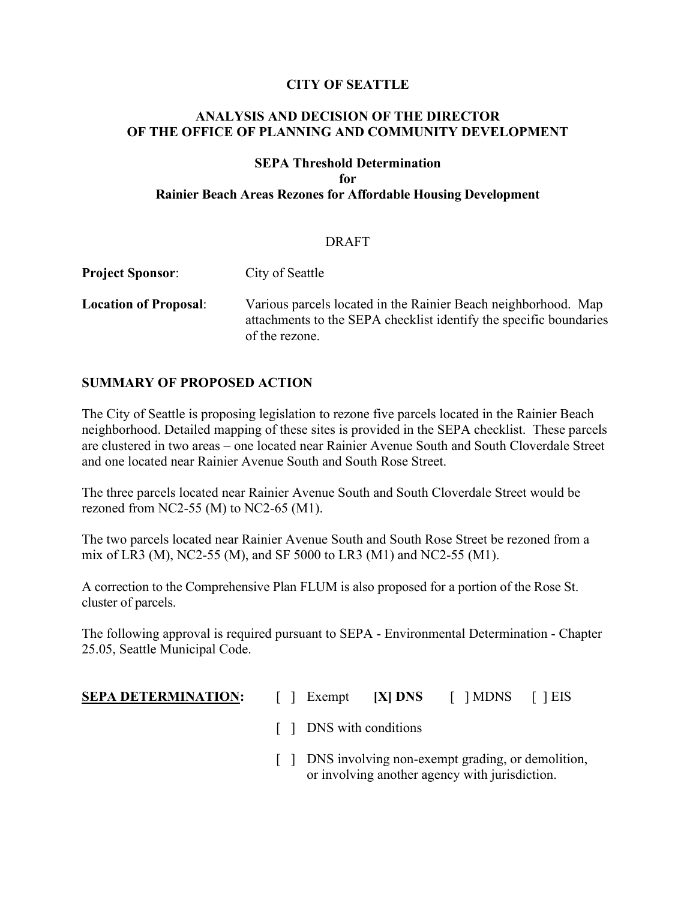## **CITY OF SEATTLE**

## **ANALYSIS AND DECISION OF THE DIRECTOR OF THE OFFICE OF PLANNING AND COMMUNITY DEVELOPMENT**

# **SEPA Threshold Determination for Rainier Beach Areas Rezones for Affordable Housing Development**

#### DRAFT

| <b>Project Sponsor:</b>      | City of Seattle                                                                                                                                        |
|------------------------------|--------------------------------------------------------------------------------------------------------------------------------------------------------|
| <b>Location of Proposal:</b> | Various parcels located in the Rainier Beach neighborhood. Map<br>attachments to the SEPA checklist identify the specific boundaries<br>of the rezone. |

## **SUMMARY OF PROPOSED ACTION**

The City of Seattle is proposing legislation to rezone five parcels located in the Rainier Beach neighborhood. Detailed mapping of these sites is provided in the SEPA checklist. These parcels are clustered in two areas – one located near Rainier Avenue South and South Cloverdale Street and one located near Rainier Avenue South and South Rose Street.

The three parcels located near Rainier Avenue South and South Cloverdale Street would be rezoned from NC2-55 (M) to NC2-65 (M1).

The two parcels located near Rainier Avenue South and South Rose Street be rezoned from a mix of LR3 (M), NC2-55 (M), and SF 5000 to LR3 (M1) and NC2-55 (M1).

A correction to the Comprehensive Plan FLUM is also proposed for a portion of the Rose St. cluster of parcels.

The following approval is required pursuant to SEPA - Environmental Determination - Chapter 25.05, Seattle Municipal Code.

- **SEPA DETERMINATION:** [ ] Exempt **[X] DNS** [ ] MDNS [ ] EIS
	- [ ] DNS with conditions
	- [ ] DNS involving non-exempt grading, or demolition, or involving another agency with jurisdiction.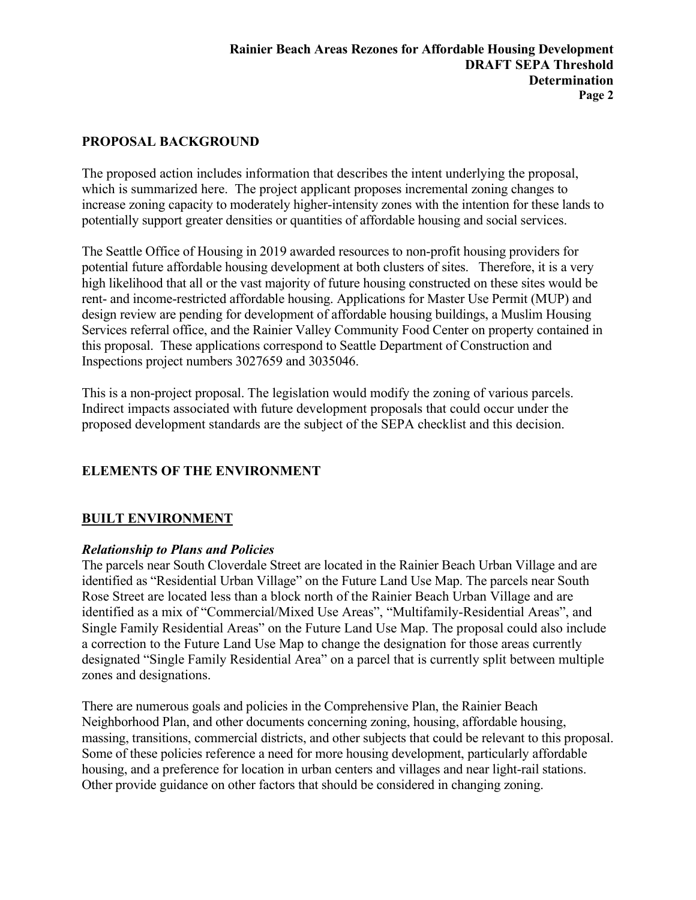# **PROPOSAL BACKGROUND**

The proposed action includes information that describes the intent underlying the proposal, which is summarized here. The project applicant proposes incremental zoning changes to increase zoning capacity to moderately higher-intensity zones with the intention for these lands to potentially support greater densities or quantities of affordable housing and social services.

The Seattle Office of Housing in 2019 awarded resources to non-profit housing providers for potential future affordable housing development at both clusters of sites. Therefore, it is a very high likelihood that all or the vast majority of future housing constructed on these sites would be rent- and income-restricted affordable housing. Applications for Master Use Permit (MUP) and design review are pending for development of affordable housing buildings, a Muslim Housing Services referral office, and the Rainier Valley Community Food Center on property contained in this proposal. These applications correspond to Seattle Department of Construction and Inspections project numbers 3027659 and 3035046.

This is a non-project proposal. The legislation would modify the zoning of various parcels. Indirect impacts associated with future development proposals that could occur under the proposed development standards are the subject of the SEPA checklist and this decision.

# **ELEMENTS OF THE ENVIRONMENT**

## **BUILT ENVIRONMENT**

## *Relationship to Plans and Policies*

The parcels near South Cloverdale Street are located in the Rainier Beach Urban Village and are identified as "Residential Urban Village" on the Future Land Use Map. The parcels near South Rose Street are located less than a block north of the Rainier Beach Urban Village and are identified as a mix of "Commercial/Mixed Use Areas", "Multifamily-Residential Areas", and Single Family Residential Areas" on the Future Land Use Map. The proposal could also include a correction to the Future Land Use Map to change the designation for those areas currently designated "Single Family Residential Area" on a parcel that is currently split between multiple zones and designations.

There are numerous goals and policies in the Comprehensive Plan, the Rainier Beach Neighborhood Plan, and other documents concerning zoning, housing, affordable housing, massing, transitions, commercial districts, and other subjects that could be relevant to this proposal. Some of these policies reference a need for more housing development, particularly affordable housing, and a preference for location in urban centers and villages and near light-rail stations. Other provide guidance on other factors that should be considered in changing zoning.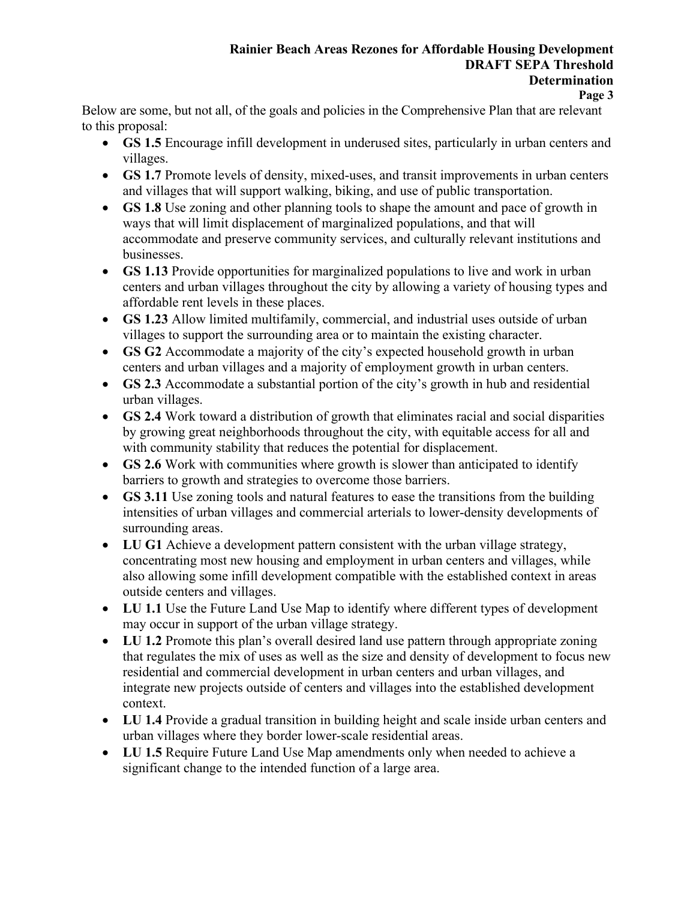# **Rainier Beach Areas Rezones for Affordable Housing Development DRAFT SEPA Threshold Determination**

#### **Page 3**

Below are some, but not all, of the goals and policies in the Comprehensive Plan that are relevant to this proposal:

- **GS 1.5** Encourage infill development in underused sites, particularly in urban centers and villages.
- **GS 1.7** Promote levels of density, mixed-uses, and transit improvements in urban centers and villages that will support walking, biking, and use of public transportation.
- **GS 1.8** Use zoning and other planning tools to shape the amount and pace of growth in ways that will limit displacement of marginalized populations, and that will accommodate and preserve community services, and culturally relevant institutions and businesses.
- **GS 1.13** Provide opportunities for marginalized populations to live and work in urban centers and urban villages throughout the city by allowing a variety of housing types and affordable rent levels in these places.
- **GS 1.23** Allow limited multifamily, commercial, and industrial uses outside of urban villages to support the surrounding area or to maintain the existing character.
- **GS G2** Accommodate a majority of the city's expected household growth in urban centers and urban villages and a majority of employment growth in urban centers.
- **GS 2.3** Accommodate a substantial portion of the city's growth in hub and residential urban villages.
- **GS 2.4** Work toward a distribution of growth that eliminates racial and social disparities by growing great neighborhoods throughout the city, with equitable access for all and with community stability that reduces the potential for displacement.
- **GS 2.6** Work with communities where growth is slower than anticipated to identify barriers to growth and strategies to overcome those barriers.
- **GS 3.11** Use zoning tools and natural features to ease the transitions from the building intensities of urban villages and commercial arterials to lower-density developments of surrounding areas.
- **LU G1** Achieve a development pattern consistent with the urban village strategy, concentrating most new housing and employment in urban centers and villages, while also allowing some infill development compatible with the established context in areas outside centers and villages.
- **LU 1.1** Use the Future Land Use Map to identify where different types of development may occur in support of the urban village strategy.
- **LU 1.2** Promote this plan's overall desired land use pattern through appropriate zoning that regulates the mix of uses as well as the size and density of development to focus new residential and commercial development in urban centers and urban villages, and integrate new projects outside of centers and villages into the established development context.
- **LU 1.4** Provide a gradual transition in building height and scale inside urban centers and urban villages where they border lower-scale residential areas.
- **LU 1.5** Require Future Land Use Map amendments only when needed to achieve a significant change to the intended function of a large area.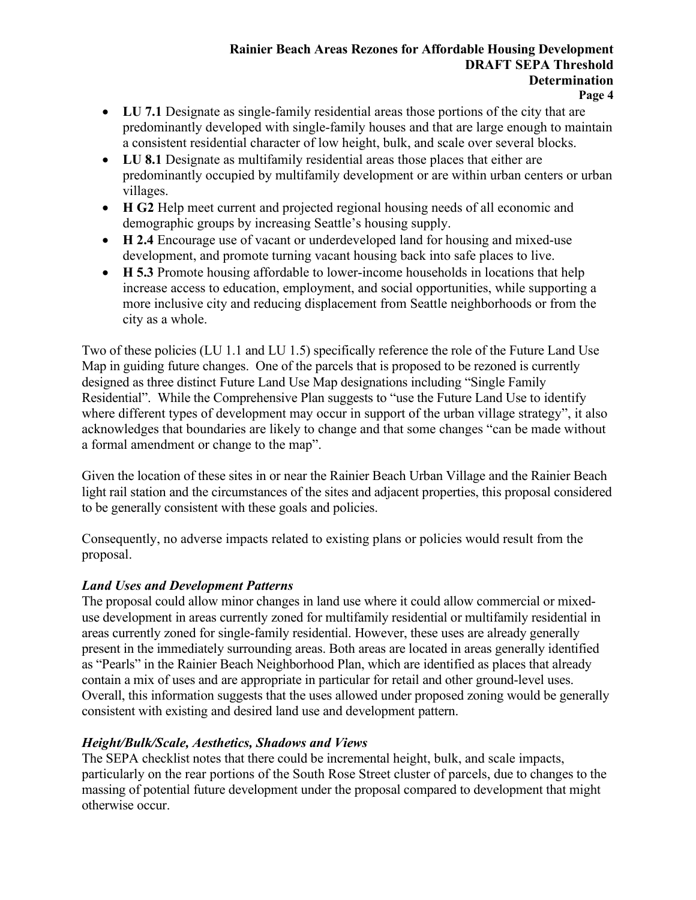# **Rainier Beach Areas Rezones for Affordable Housing Development DRAFT SEPA Threshold Determination**

- **Page 4**
- **LU 7.1** Designate as single-family residential areas those portions of the city that are predominantly developed with single-family houses and that are large enough to maintain a consistent residential character of low height, bulk, and scale over several blocks.
- **LU 8.1** Designate as multifamily residential areas those places that either are predominantly occupied by multifamily development or are within urban centers or urban villages.
- **H G2** Help meet current and projected regional housing needs of all economic and demographic groups by increasing Seattle's housing supply.
- **H 2.4** Encourage use of vacant or underdeveloped land for housing and mixed-use development, and promote turning vacant housing back into safe places to live.
- **H 5.3** Promote housing affordable to lower-income households in locations that help increase access to education, employment, and social opportunities, while supporting a more inclusive city and reducing displacement from Seattle neighborhoods or from the city as a whole.

Two of these policies (LU 1.1 and LU 1.5) specifically reference the role of the Future Land Use Map in guiding future changes. One of the parcels that is proposed to be rezoned is currently designed as three distinct Future Land Use Map designations including "Single Family Residential". While the Comprehensive Plan suggests to "use the Future Land Use to identify where different types of development may occur in support of the urban village strategy", it also acknowledges that boundaries are likely to change and that some changes "can be made without a formal amendment or change to the map".

Given the location of these sites in or near the Rainier Beach Urban Village and the Rainier Beach light rail station and the circumstances of the sites and adjacent properties, this proposal considered to be generally consistent with these goals and policies.

Consequently, no adverse impacts related to existing plans or policies would result from the proposal.

# *Land Uses and Development Patterns*

The proposal could allow minor changes in land use where it could allow commercial or mixeduse development in areas currently zoned for multifamily residential or multifamily residential in areas currently zoned for single-family residential. However, these uses are already generally present in the immediately surrounding areas. Both areas are located in areas generally identified as "Pearls" in the Rainier Beach Neighborhood Plan, which are identified as places that already contain a mix of uses and are appropriate in particular for retail and other ground-level uses. Overall, this information suggests that the uses allowed under proposed zoning would be generally consistent with existing and desired land use and development pattern.

# *Height/Bulk/Scale, Aesthetics, Shadows and Views*

The SEPA checklist notes that there could be incremental height, bulk, and scale impacts, particularly on the rear portions of the South Rose Street cluster of parcels, due to changes to the massing of potential future development under the proposal compared to development that might otherwise occur.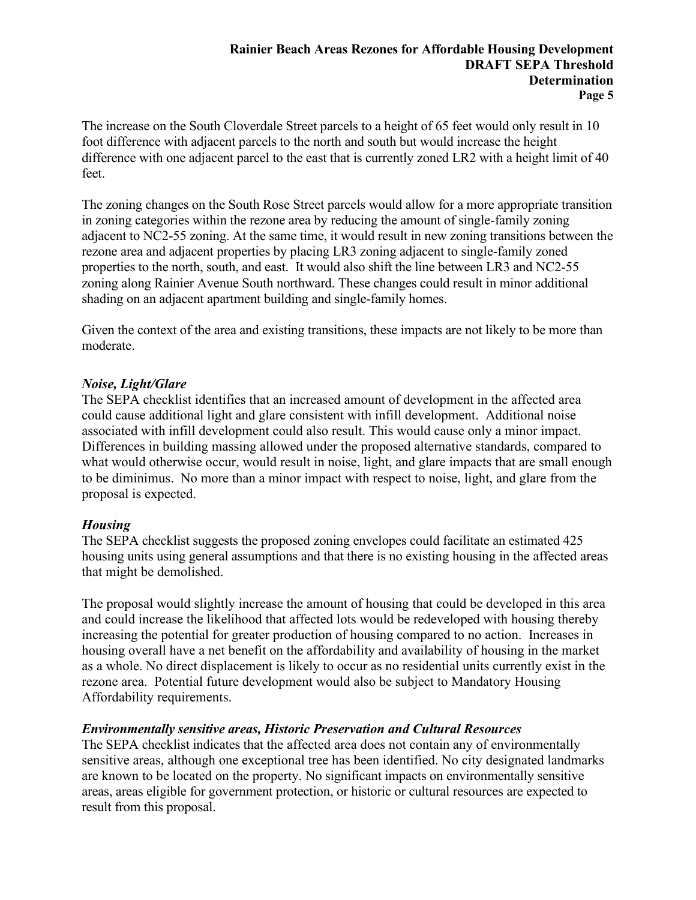The increase on the South Cloverdale Street parcels to a height of 65 feet would only result in 10 foot difference with adjacent parcels to the north and south but would increase the height difference with one adjacent parcel to the east that is currently zoned LR2 with a height limit of 40 feet.

The zoning changes on the South Rose Street parcels would allow for a more appropriate transition in zoning categories within the rezone area by reducing the amount of single-family zoning adjacent to NC2-55 zoning. At the same time, it would result in new zoning transitions between the rezone area and adjacent properties by placing LR3 zoning adjacent to single-family zoned properties to the north, south, and east. It would also shift the line between LR3 and NC2-55 zoning along Rainier Avenue South northward. These changes could result in minor additional shading on an adjacent apartment building and single-family homes.

Given the context of the area and existing transitions, these impacts are not likely to be more than moderate.

## *Noise, Light/Glare*

The SEPA checklist identifies that an increased amount of development in the affected area could cause additional light and glare consistent with infill development. Additional noise associated with infill development could also result. This would cause only a minor impact. Differences in building massing allowed under the proposed alternative standards, compared to what would otherwise occur, would result in noise, light, and glare impacts that are small enough to be diminimus. No more than a minor impact with respect to noise, light, and glare from the proposal is expected.

# *Housing*

The SEPA checklist suggests the proposed zoning envelopes could facilitate an estimated 425 housing units using general assumptions and that there is no existing housing in the affected areas that might be demolished.

The proposal would slightly increase the amount of housing that could be developed in this area and could increase the likelihood that affected lots would be redeveloped with housing thereby increasing the potential for greater production of housing compared to no action. Increases in housing overall have a net benefit on the affordability and availability of housing in the market as a whole. No direct displacement is likely to occur as no residential units currently exist in the rezone area. Potential future development would also be subject to Mandatory Housing Affordability requirements.

# *Environmentally sensitive areas, Historic Preservation and Cultural Resources*

The SEPA checklist indicates that the affected area does not contain any of environmentally sensitive areas, although one exceptional tree has been identified. No city designated landmarks are known to be located on the property. No significant impacts on environmentally sensitive areas, areas eligible for government protection, or historic or cultural resources are expected to result from this proposal.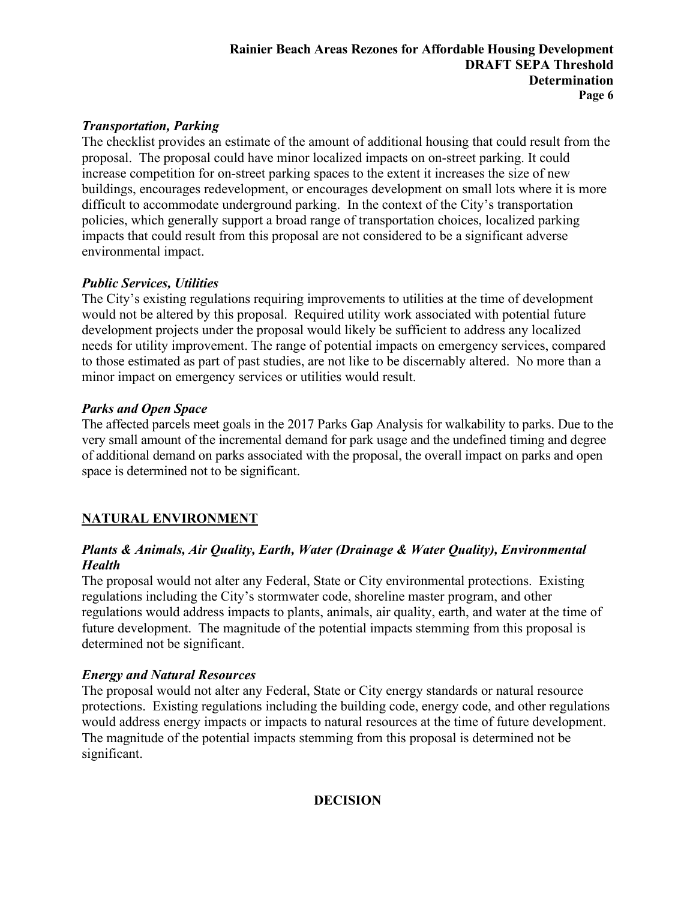## **Rainier Beach Areas Rezones for Affordable Housing Development DRAFT SEPA Threshold Determination Page 6**

# *Transportation, Parking*

The checklist provides an estimate of the amount of additional housing that could result from the proposal. The proposal could have minor localized impacts on on-street parking. It could increase competition for on-street parking spaces to the extent it increases the size of new buildings, encourages redevelopment, or encourages development on small lots where it is more difficult to accommodate underground parking. In the context of the City's transportation policies, which generally support a broad range of transportation choices, localized parking impacts that could result from this proposal are not considered to be a significant adverse environmental impact.

# *Public Services, Utilities*

The City's existing regulations requiring improvements to utilities at the time of development would not be altered by this proposal. Required utility work associated with potential future development projects under the proposal would likely be sufficient to address any localized needs for utility improvement. The range of potential impacts on emergency services, compared to those estimated as part of past studies, are not like to be discernably altered. No more than a minor impact on emergency services or utilities would result.

# *Parks and Open Space*

The affected parcels meet goals in the 2017 Parks Gap Analysis for walkability to parks. Due to the very small amount of the incremental demand for park usage and the undefined timing and degree of additional demand on parks associated with the proposal, the overall impact on parks and open space is determined not to be significant.

# **NATURAL ENVIRONMENT**

# *Plants & Animals, Air Quality, Earth, Water (Drainage & Water Quality), Environmental Health*

The proposal would not alter any Federal, State or City environmental protections. Existing regulations including the City's stormwater code, shoreline master program, and other regulations would address impacts to plants, animals, air quality, earth, and water at the time of future development. The magnitude of the potential impacts stemming from this proposal is determined not be significant.

# *Energy and Natural Resources*

The proposal would not alter any Federal, State or City energy standards or natural resource protections. Existing regulations including the building code, energy code, and other regulations would address energy impacts or impacts to natural resources at the time of future development. The magnitude of the potential impacts stemming from this proposal is determined not be significant.

# **DECISION**